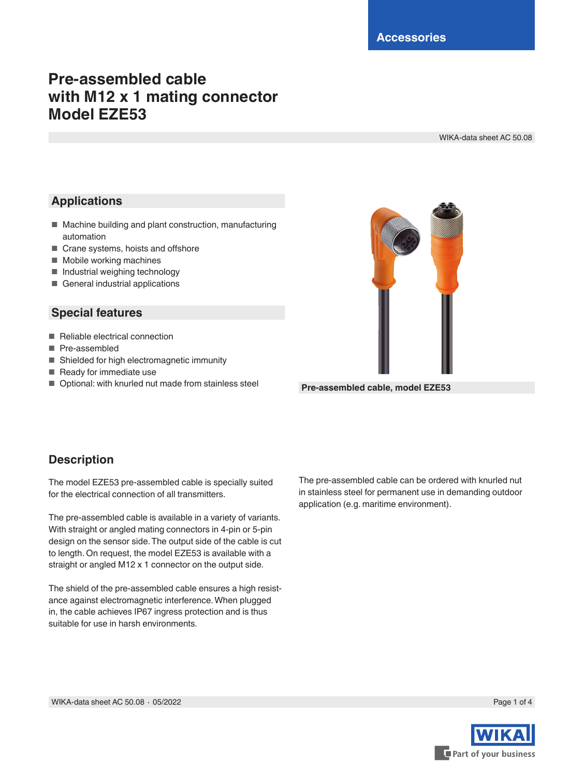# **Pre-assembled cable with M12 x 1 mating connector Model EZE53**

WIKA-data sheet AC 50.08

#### **Applications**

- Machine building and plant construction, manufacturing automation
- Crane systems, hoists and offshore
- Mobile working machines
- Industrial weighing technology
- General industrial applications

#### **Special features**

- Reliable electrical connection
- Pre-assembled
- Shielded for high electromagnetic immunity
- Ready for immediate use
- Optional: with knurled nut made from stainless steel



**Pre-assembled cable, model EZE53**

#### **Description**

The model EZE53 pre-assembled cable is specially suited for the electrical connection of all transmitters.

The pre-assembled cable is available in a variety of variants. With straight or angled mating connectors in 4-pin or 5-pin design on the sensor side. The output side of the cable is cut to length. On request, the model EZE53 is available with a straight or angled M12 x 1 connector on the output side.

The shield of the pre-assembled cable ensures a high resistance against electromagnetic interference. When plugged in, the cable achieves IP67 ingress protection and is thus suitable for use in harsh environments.

The pre-assembled cable can be ordered with knurled nut in stainless steel for permanent use in demanding outdoor application (e.g. maritime environment).

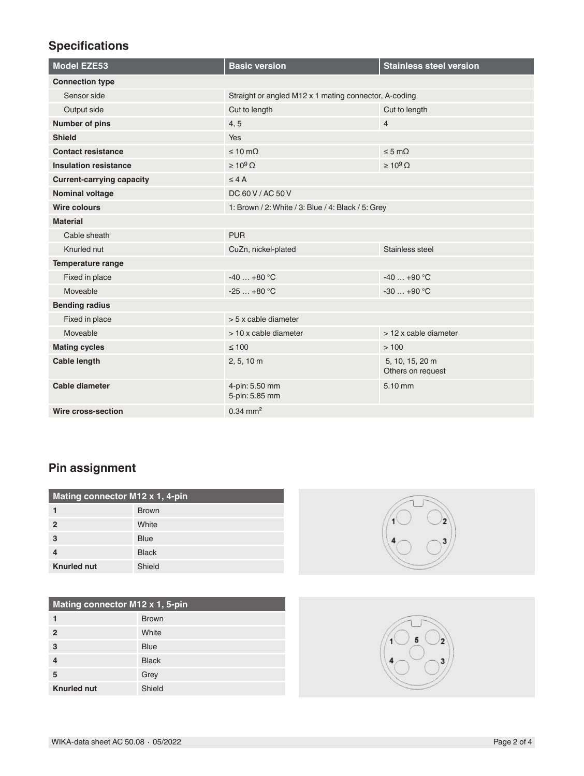## **Specifications**

| <b>Model EZE53</b>               | <b>Basic version</b>                                  | <b>Stainless steel version</b>       |  |
|----------------------------------|-------------------------------------------------------|--------------------------------------|--|
| <b>Connection type</b>           |                                                       |                                      |  |
| Sensor side                      | Straight or angled M12 x 1 mating connector, A-coding |                                      |  |
| Output side                      | Cut to length                                         | Cut to length                        |  |
| Number of pins                   | 4, 5                                                  | $\overline{4}$                       |  |
| <b>Shield</b>                    | Yes                                                   |                                      |  |
| <b>Contact resistance</b>        | $\leq 10 \text{ m}\Omega$<br>$\leq$ 5 m $\Omega$      |                                      |  |
| <b>Insulation resistance</b>     | $\geq 10^9 \Omega$                                    | $\geq 10^9 \Omega$                   |  |
| <b>Current-carrying capacity</b> | $\leq 4$ A                                            |                                      |  |
| <b>Nominal voltage</b>           | DC 60 V / AC 50 V                                     |                                      |  |
| <b>Wire colours</b>              | 1: Brown / 2: White / 3: Blue / 4: Black / 5: Grey    |                                      |  |
| <b>Material</b>                  |                                                       |                                      |  |
| Cable sheath                     | <b>PUR</b>                                            |                                      |  |
| Knurled nut                      | CuZn, nickel-plated                                   | Stainless steel                      |  |
| Temperature range                |                                                       |                                      |  |
| Fixed in place                   | $-40+80$ °C                                           | $-40+90$ °C                          |  |
| Moveable                         | $-25+80$ °C<br>$-30+90$ °C                            |                                      |  |
| <b>Bending radius</b>            |                                                       |                                      |  |
| Fixed in place                   | > 5 x cable diameter                                  |                                      |  |
| Moveable                         | > 10 x cable diameter                                 | > 12 x cable diameter                |  |
| <b>Mating cycles</b>             | $\leq 100$                                            | >100                                 |  |
| <b>Cable length</b>              | 2, 5, 10 m                                            | 5, 10, 15, 20 m<br>Others on request |  |
| <b>Cable diameter</b>            | 4-pin: 5.50 mm<br>5-pin: 5.85 mm                      | 5.10 mm                              |  |
| Wire cross-section               | $0.34$ mm <sup>2</sup>                                |                                      |  |

## **Pin assignment**

| Mating connector M12 x 1, 4-pin |              |  |  |
|---------------------------------|--------------|--|--|
|                                 | <b>Brown</b> |  |  |
| $\overline{2}$                  | White        |  |  |
| 3                               | <b>Blue</b>  |  |  |
|                                 | <b>Black</b> |  |  |
| <b>Knurled nut</b>              | Shield       |  |  |

| Mating connector M12 x 1, 5-pin |              |  |  |
|---------------------------------|--------------|--|--|
|                                 | <b>Brown</b> |  |  |
| $\overline{2}$                  | White        |  |  |
| 3                               | <b>Blue</b>  |  |  |
|                                 | <b>Black</b> |  |  |
| 5                               | Grey         |  |  |
| <b>Knurled nut</b>              | Shield       |  |  |



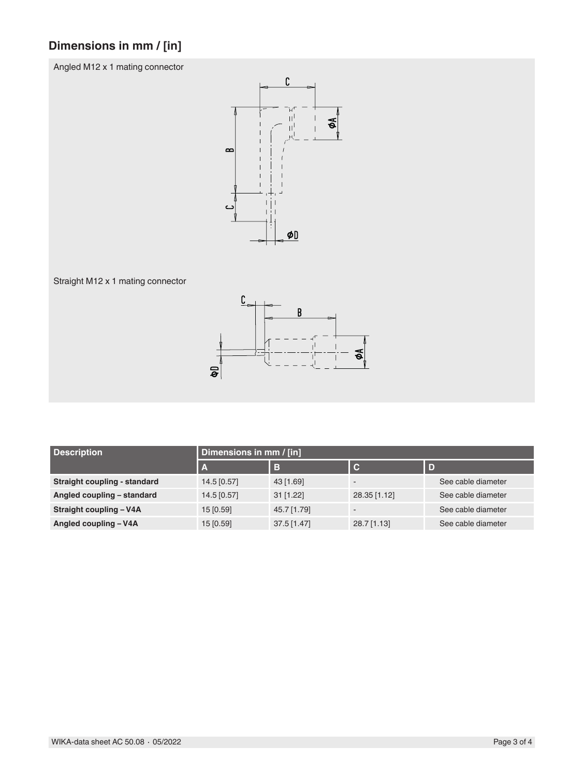## **Dimensions in mm / [in]**

Angled M12 x 1 mating connector



Straight M12 x 1 mating connector



| Description                         | Dimensions in mm / [in] |             |                          |                    |
|-------------------------------------|-------------------------|-------------|--------------------------|--------------------|
|                                     | A                       | <b>B</b>    | $\mathbf C$              | ID.                |
| <b>Straight coupling - standard</b> | 14.5 [0.57]             | 43 [1.69]   | $\overline{\phantom{a}}$ | See cable diameter |
| Angled coupling - standard          | 14.5 [0.57]             | 31 [1.22]   | 28.35 [1.12]             | See cable diameter |
| <b>Straight coupling - V4A</b>      | 15 [0.59]               | 45.7 [1.79] | $\overline{\phantom{a}}$ | See cable diameter |
| Angled coupling - V4A               | 15 [0.59]               | 37.5 [1.47] | 28.7 [1.13]              | See cable diameter |